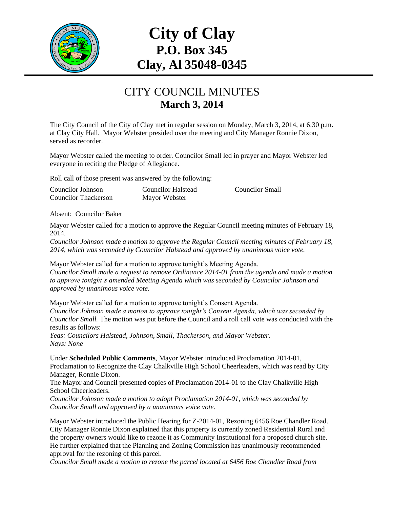

## **City of Clay P.O. Box 345 Clay, Al 35048-0345**

## CITY COUNCIL MINUTES **March 3, 2014**

The City Council of the City of Clay met in regular session on Monday, March 3, 2014, at 6:30 p.m. at Clay City Hall. Mayor Webster presided over the meeting and City Manager Ronnie Dixon, served as recorder.

Mayor Webster called the meeting to order. Councilor Small led in prayer and Mayor Webster led everyone in reciting the Pledge of Allegiance.

Roll call of those present was answered by the following:

| Councilor Johnson           | Councilor Halstead | <b>Councilor Small</b> |
|-----------------------------|--------------------|------------------------|
| <b>Councilor Thackerson</b> | Mayor Webster      |                        |

Absent: Councilor Baker

Mayor Webster called for a motion to approve the Regular Council meeting minutes of February 18, 2014.

*Councilor Johnson made a motion to approve the Regular Council meeting minutes of February 18, 2014, which was seconded by Councilor Halstead and approved by unanimous voice vote.*

Mayor Webster called for a motion to approve tonight's Meeting Agenda. *Councilor Small made a request to remove Ordinance 2014-01 from the agenda and made a motion to approve tonight's amended Meeting Agenda which was seconded by Councilor Johnson and approved by unanimous voice vote.*

Mayor Webster called for a motion to approve tonight's Consent Agenda. *Councilor Johnson made a motion to approve tonight's Consent Agenda, which was seconded by Councilor Small.* The motion was put before the Council and a roll call vote was conducted with the results as follows:

*Yeas: Councilors Halstead, Johnson, Small, Thackerson, and Mayor Webster. Nays: None*

Under **Scheduled Public Comments**, Mayor Webster introduced Proclamation 2014-01, Proclamation to Recognize the Clay Chalkville High School Cheerleaders, which was read by City Manager, Ronnie Dixon.

The Mayor and Council presented copies of Proclamation 2014-01 to the Clay Chalkville High School Cheerleaders.

*Councilor Johnson made a motion to adopt Proclamation 2014-01, which was seconded by Councilor Small and approved by a unanimous voice vote.* 

Mayor Webster introduced the Public Hearing for Z-2014-01, Rezoning 6456 Roe Chandler Road. City Manager Ronnie Dixon explained that this property is currently zoned Residential Rural and the property owners would like to rezone it as Community Institutional for a proposed church site. He further explained that the Planning and Zoning Commission has unanimously recommended approval for the rezoning of this parcel.

*Councilor Small made a motion to rezone the parcel located at 6456 Roe Chandler Road from*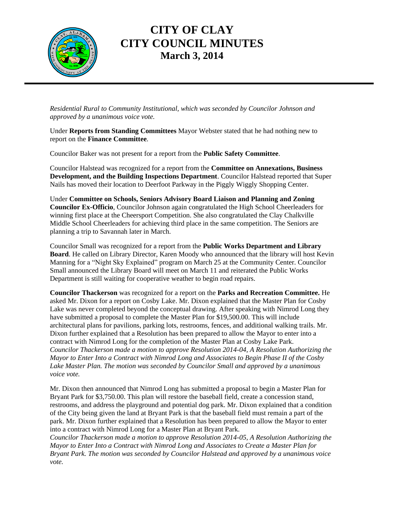

## **CITY OF CLAY CITY COUNCIL MINUTES March 3, 2014**

*Residential Rural to Community Institutional, which was seconded by Councilor Johnson and approved by a unanimous voice vote.*

Under **Reports from Standing Committees** Mayor Webster stated that he had nothing new to report on the **Finance Committee**.

Councilor Baker was not present for a report from the **Public Safety Committee**.

Councilor Halstead was recognized for a report from the **Committee on Annexations, Business Development, and the Building Inspections Department**. Councilor Halstead reported that Super Nails has moved their location to Deerfoot Parkway in the Piggly Wiggly Shopping Center.

Under **Committee on Schools, Seniors Advisory Board Liaison and Planning and Zoning Councilor Ex-Officio**, Councilor Johnson again congratulated the High School Cheerleaders for winning first place at the Cheersport Competition. She also congratulated the Clay Chalkville Middle School Cheerleaders for achieving third place in the same competition. The Seniors are planning a trip to Savannah later in March.

Councilor Small was recognized for a report from the **Public Works Department and Library Board**. He called on Library Director, Karen Moody who announced that the library will host Kevin Manning for a "Night Sky Explained" program on March 25 at the Community Center. Councilor Small announced the Library Board will meet on March 11 and reiterated the Public Works Department is still waiting for cooperative weather to begin road repairs.

**Councilor Thackerson** was recognized for a report on the **Parks and Recreation Committee.** He asked Mr. Dixon for a report on Cosby Lake. Mr. Dixon explained that the Master Plan for Cosby Lake was never completed beyond the conceptual drawing. After speaking with Nimrod Long they have submitted a proposal to complete the Master Plan for \$19,500.00. This will include architectural plans for pavilions, parking lots, restrooms, fences, and additional walking trails. Mr. Dixon further explained that a Resolution has been prepared to allow the Mayor to enter into a contract with Nimrod Long for the completion of the Master Plan at Cosby Lake Park. *Councilor Thackerson made a motion to approve Resolution 2014-04, A Resolution Authorizing the Mayor to Enter Into a Contract with Nimrod Long and Associates to Begin Phase II of the Cosby Lake Master Plan. The motion was seconded by Councilor Small and approved by a unanimous voice vote.*

Mr. Dixon then announced that Nimrod Long has submitted a proposal to begin a Master Plan for Bryant Park for \$3,750.00. This plan will restore the baseball field, create a concession stand, restrooms, and address the playground and potential dog park. Mr. Dixon explained that a condition of the City being given the land at Bryant Park is that the baseball field must remain a part of the park. Mr. Dixon further explained that a Resolution has been prepared to allow the Mayor to enter into a contract with Nimrod Long for a Master Plan at Bryant Park.

*Councilor Thackerson made a motion to approve Resolution 2014-05, A Resolution Authorizing the Mayor to Enter Into a Contract with Nimrod Long and Associates to Create a Master Plan for Bryant Park. The motion was seconded by Councilor Halstead and approved by a unanimous voice vote.*